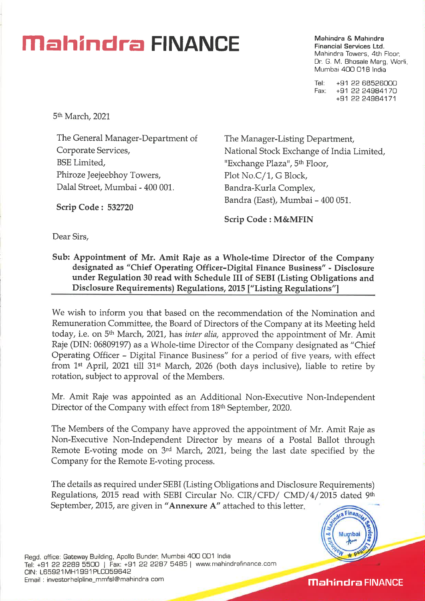### **Mahindra & Mahindra & Mahindra & Mahindra & Mahindra**

**Financial Services Ltd.**  Mahindra Towers, 4th Floor, Dr. G. M. Bhosale Marg, Worli, Mumbai 400 018 India

Tel: +91 22 68526000 Fax: +91 22 24984170 +91 22 24984171

5th March, 2021

The General Manager-Department of Corporate Services, BSE Limited, Phiroze Jeejeebhoy Towers, Dalal Street, Mumbai - 400 001.

The Manager-Listing Department, National Stock Exchange of India Limited, "Exchange Plaza", 5<sup>th</sup> Floor, Plot No.C/1, G Block, Bandra-Kurla Complex, Bandra (East), Mumbai - 400 051.

**Scrip Code : M&MFIN** 

Dear Sirs,

**Scrip Code : 532720** 

**Sub: Appointment of Mr. Amit Raje as a Whole-time Director of the Company designated as "Chief Operating Officer-Digital Finance Business" - Disclosure under Regulation 30 read with Schedule III of SEBI (Listing Obligations and Disclosure Requirements) Regulations, 2015 ["Listing Regulations"]** 

We wish to inform you that based on the recommendation of the Nomination and Remuneration Committee, the Board of Directors of the Company at its Meeting held today, i.e. on 5th March, 2021, has *inter alia,* approved the appointment of Mr. Amit Raje (DIN: 06809197) as a Whole-time Director of the Company designated as "Chief Operating Officer - Digital Finance Business" for a period of five years, with effect from 1st April, 2021 till 31st March, 2026 (both days inclusive), liable to retire by rotation, subject to approval of the Members.

Mr. Amit Raje was appointed as an Additional Non-Executive Non-Independent Director of the Company with effect from 18<sup>th</sup> September, 2020.

The Members of the Company have approved the appointment of Mr. Amit Raje as Non-Executive Non-Independent Director by means of a Postal Ballot through Remote E-voting mode on 3rd March, 2021, being the last date specified by the Company for the Remote E-voting process.

The details as required under SEBI (Listing Obligations and Disclosure Requirements) Regulations, 2015 read with SEBI Circular No. CIR/CFD/ CMD/4/2015 dated 9th September, 2015, are given in **"Annexure A"** attached to this letter.



**Mahindra FINANCE**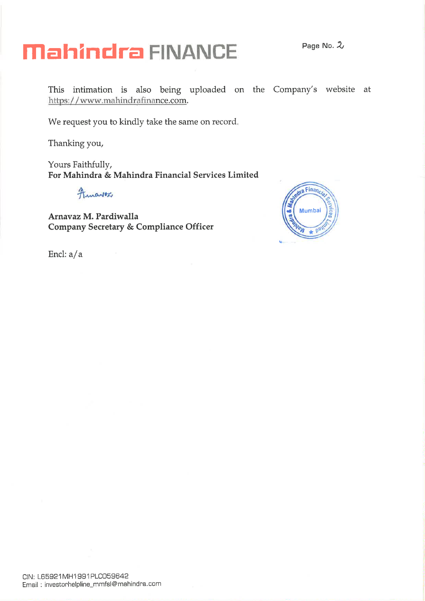### **Mahindra FINANCE Page No..2,**

This intimation is also being uploaded on the Company's website at https: / / www.mahindrafinance.com.

We request you to kindly take the same on record.

Thanking you,

Yours Faithfully, **For Mahindra** *&* **Mahindra Financial Services Limited** 

Amariez

**Arnavaz M. Pardiwalla Company Secretary & Compliance Officer** 



Encl: a/a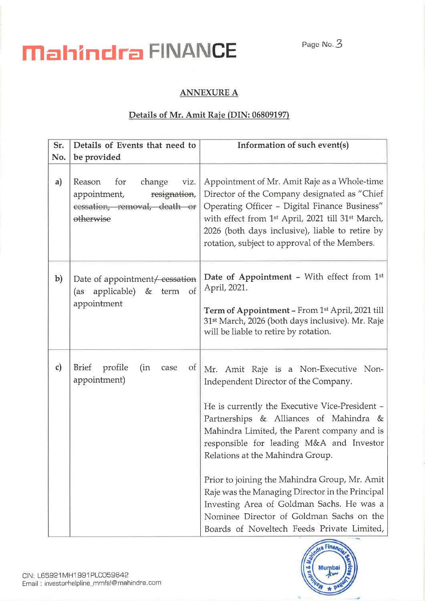# **Mahindra FINANCE** Page No.3

#### **ANNEXURE A**

#### **Details of Mr. Amit Raje (DIN: 06809197)**

| Sr.          | Details of Events that need to                                                                               | Information of such event(s)                                                                                                                                                                                                                                                                                                                                                                                                                                                                                                                        |
|--------------|--------------------------------------------------------------------------------------------------------------|-----------------------------------------------------------------------------------------------------------------------------------------------------------------------------------------------------------------------------------------------------------------------------------------------------------------------------------------------------------------------------------------------------------------------------------------------------------------------------------------------------------------------------------------------------|
| No.          | be provided                                                                                                  |                                                                                                                                                                                                                                                                                                                                                                                                                                                                                                                                                     |
| a)           | Reason<br>for<br>change<br>viz.<br>resignation,<br>appointment,<br>cessation, removal, death or<br>otherwise | Appointment of Mr. Amit Raje as a Whole-time<br>Director of the Company designated as "Chief<br>Operating Officer - Digital Finance Business"<br>with effect from 1 <sup>st</sup> April, 2021 till 31 <sup>st</sup> March,<br>2026 (both days inclusive), liable to retire by<br>rotation, subject to approval of the Members.                                                                                                                                                                                                                      |
| $\mathbf{b}$ | Date of appointment / cessation<br>applicable) & term of<br>(as<br>appointment                               | Date of Appointment - With effect from 1st<br>April, 2021.<br>Term of Appointment - From 1st April, 2021 till<br>31 <sup>st</sup> March, 2026 (both days inclusive). Mr. Raje<br>will be liable to retire by rotation.                                                                                                                                                                                                                                                                                                                              |
| $\mathbf{c}$ | profile<br>Brief<br>(in<br>$\sigma$<br>case<br>appointment)                                                  | Mr. Amit Raje is a Non-Executive Non-<br>Independent Director of the Company.<br>He is currently the Executive Vice-President -<br>Partnerships & Alliances of Mahindra &<br>Mahindra Limited, the Parent company and is<br>responsible for leading M&A and Investor<br>Relations at the Mahindra Group.<br>Prior to joining the Mahindra Group, Mr. Amit<br>Raje was the Managing Director in the Principal<br>Investing Area of Goldman Sachs. He was a<br>Nominee Director of Goldman Sachs on the<br>Boards of Noveltech Feeds Private Limited, |